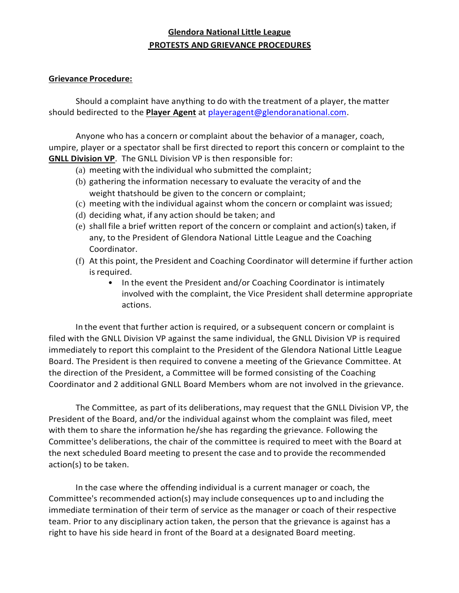## **Glendora National Little League PROTESTS AND GRIEVANCE PROCEDURES**

## **Grievance Procedure:**

Should a complaint have anything to do with the treatment of a player, the matter should bedirected to the **Player Agent** at [playeragent@glendoranational.com.](mailto:playeragent@glendoranational.com)

Anyone who has a concern or complaint about the behavior of a manager, coach, umpire, player or a spectator shall be first directed to report this concern or complaint to the **GNLL Division VP**. The GNLL Division VP is then responsible for:

- (a) meeting with the individual who submitted the complaint;
- (b) gathering the information necessary to evaluate the veracity of and the weight thatshould be given to the concern or complaint;
- (c) meeting with the individual against whom the concern or complaint was issued;
- (d) deciding what, if any action should be taken; and
- (e) shall file a brief written report of the concern or complaint and action(s) taken, if any, to the President of Glendora National Little League and the Coaching Coordinator.
- (f) At this point, the President and Coaching Coordinator will determine if further action is required.
	- In the event the President and/or Coaching Coordinator is intimately involved with the complaint, the Vice President shall determine appropriate actions.

In the event that further action is required, or a subsequent concern or complaint is filed with the GNLL Division VP against the same individual, the GNLL Division VP is required immediately to report this complaint to the President of the Glendora National Little League Board. The President is then required to convene a meeting of the Grievance Committee. At the direction of the President, a Committee will be formed consisting of the Coaching Coordinator and 2 additional GNLL Board Members whom are not involved in the grievance.

The Committee, as part of its deliberations, may request that the GNLL Division VP, the President of the Board, and/or the individual against whom the complaint was filed, meet with them to share the information he/she has regarding the grievance. Following the Committee's deliberations, the chair of the committee is required to meet with the Board at the next scheduled Board meeting to present the case and to provide the recommended action(s) to be taken.

In the case where the offending individual is a current manager or coach, the Committee's recommended action(s) may include consequences up to and including the immediate termination of their term of service as the manager or coach of their respective team. Prior to any disciplinary action taken, the person that the grievance is against has a right to have his side heard in front of the Board at a designated Board meeting.